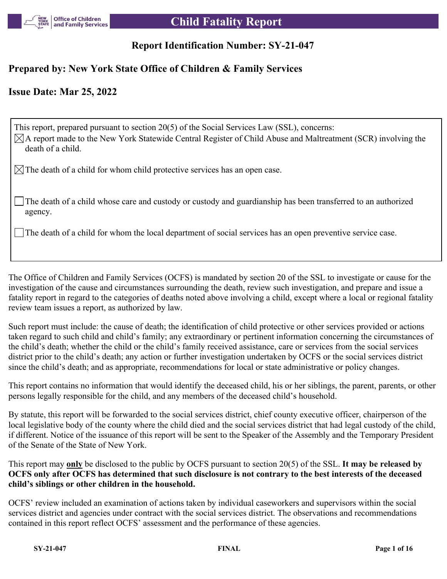

### **Report Identification Number: SY-21-047**

#### **Prepared by: New York State Office of Children & Family Services**

#### **Issue Date: Mar 25, 2022**

This report, prepared pursuant to section 20(5) of the Social Services Law (SSL), concerns:  $\boxtimes$ A report made to the New York Statewide Central Register of Child Abuse and Maltreatment (SCR) involving the death of a child.

 $\boxtimes$  The death of a child for whom child protective services has an open case.

The death of a child whose care and custody or custody and guardianship has been transferred to an authorized agency.

The death of a child for whom the local department of social services has an open preventive service case.

The Office of Children and Family Services (OCFS) is mandated by section 20 of the SSL to investigate or cause for the investigation of the cause and circumstances surrounding the death, review such investigation, and prepare and issue a fatality report in regard to the categories of deaths noted above involving a child, except where a local or regional fatality review team issues a report, as authorized by law.

Such report must include: the cause of death; the identification of child protective or other services provided or actions taken regard to such child and child's family; any extraordinary or pertinent information concerning the circumstances of the child's death; whether the child or the child's family received assistance, care or services from the social services district prior to the child's death; any action or further investigation undertaken by OCFS or the social services district since the child's death; and as appropriate, recommendations for local or state administrative or policy changes.

This report contains no information that would identify the deceased child, his or her siblings, the parent, parents, or other persons legally responsible for the child, and any members of the deceased child's household.

By statute, this report will be forwarded to the social services district, chief county executive officer, chairperson of the local legislative body of the county where the child died and the social services district that had legal custody of the child, if different. Notice of the issuance of this report will be sent to the Speaker of the Assembly and the Temporary President of the Senate of the State of New York.

This report may **only** be disclosed to the public by OCFS pursuant to section 20(5) of the SSL. **It may be released by OCFS only after OCFS has determined that such disclosure is not contrary to the best interests of the deceased child's siblings or other children in the household.**

OCFS' review included an examination of actions taken by individual caseworkers and supervisors within the social services district and agencies under contract with the social services district. The observations and recommendations contained in this report reflect OCFS' assessment and the performance of these agencies.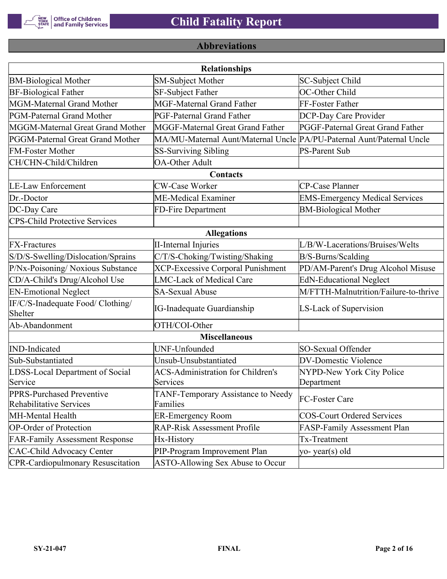

### **Abbreviations**

| <b>Relationships</b>                                 |                                                                       |                                       |  |  |
|------------------------------------------------------|-----------------------------------------------------------------------|---------------------------------------|--|--|
| <b>BM-Biological Mother</b>                          | <b>SM-Subject Mother</b>                                              | SC-Subject Child                      |  |  |
| <b>BF-Biological Father</b>                          | <b>SF-Subject Father</b>                                              | OC-Other Child                        |  |  |
| MGM-Maternal Grand Mother                            | <b>MGF-Maternal Grand Father</b>                                      | FF-Foster Father                      |  |  |
| PGM-Paternal Grand Mother                            | <b>PGF-Paternal Grand Father</b>                                      | DCP-Day Care Provider                 |  |  |
| MGGM-Maternal Great Grand Mother                     | MGGF-Maternal Great Grand Father                                      | PGGF-Paternal Great Grand Father      |  |  |
| PGGM-Paternal Great Grand Mother                     | MA/MU-Maternal Aunt/Maternal Uncle PA/PU-Paternal Aunt/Paternal Uncle |                                       |  |  |
| <b>FM-Foster Mother</b>                              | <b>SS-Surviving Sibling</b>                                           | <b>PS-Parent Sub</b>                  |  |  |
| CH/CHN-Child/Children                                | <b>OA-Other Adult</b>                                                 |                                       |  |  |
|                                                      | Contacts                                                              |                                       |  |  |
| <b>LE-Law Enforcement</b>                            | <b>CW-Case Worker</b>                                                 | CP-Case Planner                       |  |  |
| Dr.-Doctor                                           | ME-Medical Examiner                                                   | <b>EMS-Emergency Medical Services</b> |  |  |
| DC-Day Care                                          | FD-Fire Department                                                    | <b>BM-Biological Mother</b>           |  |  |
| <b>CPS-Child Protective Services</b>                 |                                                                       |                                       |  |  |
|                                                      | <b>Allegations</b>                                                    |                                       |  |  |
| <b>FX-Fractures</b>                                  | <b>II-Internal Injuries</b>                                           | L/B/W-Lacerations/Bruises/Welts       |  |  |
| S/D/S-Swelling/Dislocation/Sprains                   | C/T/S-Choking/Twisting/Shaking                                        | B/S-Burns/Scalding                    |  |  |
| P/Nx-Poisoning/ Noxious Substance                    | <b>XCP-Excessive Corporal Punishment</b>                              | PD/AM-Parent's Drug Alcohol Misuse    |  |  |
| CD/A-Child's Drug/Alcohol Use                        | <b>LMC-Lack of Medical Care</b>                                       | <b>EdN-Educational Neglect</b>        |  |  |
| <b>EN-Emotional Neglect</b>                          | <b>SA-Sexual Abuse</b>                                                | M/FTTH-Malnutrition/Failure-to-thrive |  |  |
| IF/C/S-Inadequate Food/ Clothing/<br>Shelter         | <b>IG-Inadequate Guardianship</b>                                     | LS-Lack of Supervision                |  |  |
| Ab-Abandonment                                       | OTH/COI-Other                                                         |                                       |  |  |
|                                                      | <b>Miscellaneous</b>                                                  |                                       |  |  |
| <b>IND-Indicated</b>                                 | UNF-Unfounded                                                         | SO-Sexual Offender                    |  |  |
| Sub-Substantiated                                    | Unsub-Unsubstantiated                                                 | <b>DV-Domestic Violence</b>           |  |  |
| LDSS-Local Department of Social                      | <b>ACS-Administration for Children's</b>                              | NYPD-New York City Police             |  |  |
| Service                                              | Services                                                              | Department                            |  |  |
| PPRS-Purchased Preventive<br>Rehabilitative Services | TANF-Temporary Assistance to Needy<br>Families                        | FC-Foster Care                        |  |  |
| MH-Mental Health                                     | <b>ER-Emergency Room</b>                                              | <b>COS-Court Ordered Services</b>     |  |  |
| <b>OP-Order of Protection</b>                        | <b>RAP-Risk Assessment Profile</b>                                    | FASP-Family Assessment Plan           |  |  |
| <b>FAR-Family Assessment Response</b>                | Hx-History                                                            | Tx-Treatment                          |  |  |
| <b>CAC-Child Advocacy Center</b>                     | PIP-Program Improvement Plan                                          | yo-year(s) old                        |  |  |
| <b>CPR-Cardiopulmonary Resuscitation</b>             | ASTO-Allowing Sex Abuse to Occur                                      |                                       |  |  |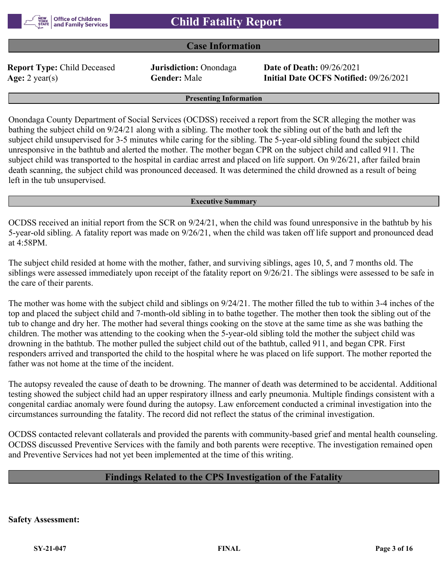#### **Case Information**

**Report Type:** Child Deceased **Jurisdiction:** Onondaga **Date of Death:** 09/26/2021

**Age:** 2 year(s) **Gender:** Male **Initial Date OCFS Notified:** 09/26/2021

#### **Presenting Information**

Onondaga County Department of Social Services (OCDSS) received a report from the SCR alleging the mother was bathing the subject child on 9/24/21 along with a sibling. The mother took the sibling out of the bath and left the subject child unsupervised for 3-5 minutes while caring for the sibling. The 5-year-old sibling found the subject child unresponsive in the bathtub and alerted the mother. The mother began CPR on the subject child and called 911. The subject child was transported to the hospital in cardiac arrest and placed on life support. On 9/26/21, after failed brain death scanning, the subject child was pronounced deceased. It was determined the child drowned as a result of being left in the tub unsupervised.

#### **Executive Summary**

OCDSS received an initial report from the SCR on 9/24/21, when the child was found unresponsive in the bathtub by his 5-year-old sibling. A fatality report was made on 9/26/21, when the child was taken off life support and pronounced dead at 4:58PM.

The subject child resided at home with the mother, father, and surviving siblings, ages 10, 5, and 7 months old. The siblings were assessed immediately upon receipt of the fatality report on 9/26/21. The siblings were assessed to be safe in the care of their parents.

The mother was home with the subject child and siblings on 9/24/21. The mother filled the tub to within 3-4 inches of the top and placed the subject child and 7-month-old sibling in to bathe together. The mother then took the sibling out of the tub to change and dry her. The mother had several things cooking on the stove at the same time as she was bathing the children. The mother was attending to the cooking when the 5-year-old sibling told the mother the subject child was drowning in the bathtub. The mother pulled the subject child out of the bathtub, called 911, and began CPR. First responders arrived and transported the child to the hospital where he was placed on life support. The mother reported the father was not home at the time of the incident.

The autopsy revealed the cause of death to be drowning. The manner of death was determined to be accidental. Additional testing showed the subject child had an upper respiratory illness and early pneumonia. Multiple findings consistent with a congenital cardiac anomaly were found during the autopsy. Law enforcement conducted a criminal investigation into the circumstances surrounding the fatality. The record did not reflect the status of the criminal investigation.

OCDSS contacted relevant collaterals and provided the parents with community-based grief and mental health counseling. OCDSS discussed Preventive Services with the family and both parents were receptive. The investigation remained open and Preventive Services had not yet been implemented at the time of this writing.

#### **Findings Related to the CPS Investigation of the Fatality**

**Safety Assessment:**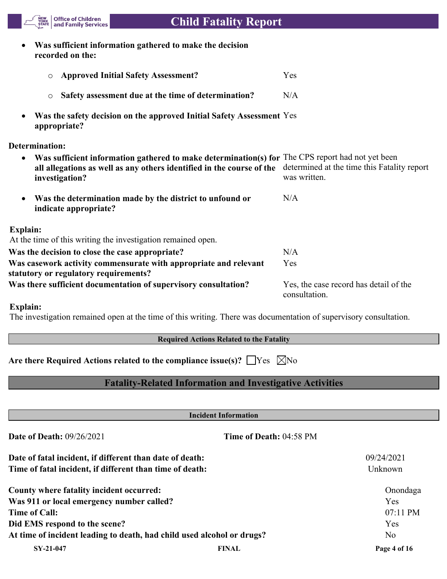**Was sufficient information gathered to make the decision recorded on the:**

Office of Children<br>and Family Services

| <b>O</b> Approved Initial Safety Assessment?          | Yes |
|-------------------------------------------------------|-----|
| • Safety assessment due at the time of determination? | N/A |

 **Was the safety decision on the approved Initial Safety Assessment**  Yes **appropriate?**

**Determination:**

NEW<br>YORK<br>STATE

| Was sufficient information gathered to make determination(s) for The CPS report had not yet been<br>$\bullet$<br>all allegations as well as any others identified in the course of the<br>investigation? | determined at the time this Fatality report<br>was written. |  |  |
|----------------------------------------------------------------------------------------------------------------------------------------------------------------------------------------------------------|-------------------------------------------------------------|--|--|
| Was the determination made by the district to unfound or<br>$\bullet$<br>indicate appropriate?                                                                                                           | N/A                                                         |  |  |
| Explain:<br>At the time of this writing the investigation remained open.                                                                                                                                 |                                                             |  |  |
| Was the decision to close the case appropriate?                                                                                                                                                          | N/A                                                         |  |  |
| Was casework activity commensurate with appropriate and relevant<br>statutory or regulatory requirements?                                                                                                | Yes                                                         |  |  |
| Was there sufficient documentation of supervisory consultation?                                                                                                                                          | Yes, the case record has detail of the<br>consultation.     |  |  |

#### **Explain:**

The investigation remained open at the time of this writing. There was documentation of supervisory consultation.

#### **Required Actions Related to the Fatality**

Are there Required Actions related to the compliance issue(s)?  $\Box$  Yes  $\Box$  No

#### **Fatality-Related Information and Investigative Activities**

| <b>Incident Information</b>                                            |                         |              |  |
|------------------------------------------------------------------------|-------------------------|--------------|--|
| <b>Date of Death: 09/26/2021</b>                                       | Time of Death: 04:58 PM |              |  |
| Date of fatal incident, if different than date of death:               |                         | 09/24/2021   |  |
| Time of fatal incident, if different than time of death:               |                         | Unknown      |  |
| County where fatality incident occurred:                               |                         | Onondaga     |  |
| Was 911 or local emergency number called?                              |                         | Yes          |  |
| <b>Time of Call:</b>                                                   |                         | $07:11$ PM   |  |
| Did EMS respond to the scene?                                          |                         | <b>Yes</b>   |  |
| At time of incident leading to death, had child used alcohol or drugs? |                         | No.          |  |
| SY-21-047                                                              | <b>FINAL</b>            | Page 4 of 16 |  |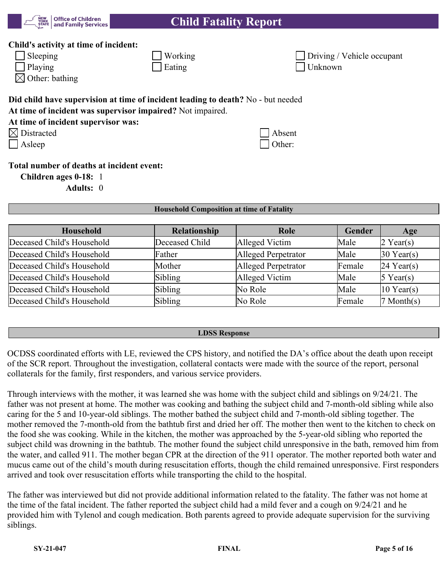

#### **Child's activity at time of incident:**

| $\Box$ Sleeping | $\sqrt{\frac{1}{1}}$ Working | $\Box$ Driving / |
|-----------------|------------------------------|------------------|
| $\Box$ Playing  | $\vert$ Eating               | $\Box$ Unknown   |

 $\boxtimes$  Other: bathing

# **Did child have supervision at time of incident leading to death?** No - but needed

**At time of incident was supervisor impaired?** Not impaired.

| At time of incident supervisor was: |  |  |
|-------------------------------------|--|--|
|-------------------------------------|--|--|

| $\boxtimes$ Distracted | $ $ Absent |
|------------------------|------------|
|------------------------|------------|

| Distracted | Absent |
|------------|--------|
| Asleep     | Other: |

Working Working Driving / Vehicle occupant

#### **Total number of deaths at incident event:**

**Children ages 0-18:** 1

**Adults:** 0

#### **Household Composition at time of Fatality**

| Household                  | Relationship   | Role                | Gender | Age                    |
|----------------------------|----------------|---------------------|--------|------------------------|
| Deceased Child's Household | Deceased Child | Alleged Victim      | Male   | $2$ Year(s)            |
| Deceased Child's Household | Father         | Alleged Perpetrator | Male   | $30$ Year(s)           |
| Deceased Child's Household | Mother         | Alleged Perpetrator | Female | $24$ Year(s)           |
| Deceased Child's Household | Sibling        | Alleged Victim      | Male   | $5$ Year(s)            |
| Deceased Child's Household | Sibling        | No Role             | Male   | $10$ Year(s)           |
| Deceased Child's Household | Sibling        | No Role             | Female | $ 7 \text{ Month}(s) $ |

#### **LDSS Response**

OCDSS coordinated efforts with LE, reviewed the CPS history, and notified the DA's office about the death upon receipt of the SCR report. Throughout the investigation, collateral contacts were made with the source of the report, personal collaterals for the family, first responders, and various service providers.

Through interviews with the mother, it was learned she was home with the subject child and siblings on 9/24/21. The father was not present at home. The mother was cooking and bathing the subject child and 7-month-old sibling while also caring for the 5 and 10-year-old siblings. The mother bathed the subject child and 7-month-old sibling together. The mother removed the 7-month-old from the bathtub first and dried her off. The mother then went to the kitchen to check on the food she was cooking. While in the kitchen, the mother was approached by the 5-year-old sibling who reported the subject child was drowning in the bathtub. The mother found the subject child unresponsive in the bath, removed him from the water, and called 911. The mother began CPR at the direction of the 911 operator. The mother reported both water and mucus came out of the child's mouth during resuscitation efforts, though the child remained unresponsive. First responders arrived and took over resuscitation efforts while transporting the child to the hospital.

The father was interviewed but did not provide additional information related to the fatality. The father was not home at the time of the fatal incident. The father reported the subject child had a mild fever and a cough on 9/24/21 and he provided him with Tylenol and cough medication. Both parents agreed to provide adequate supervision for the surviving siblings.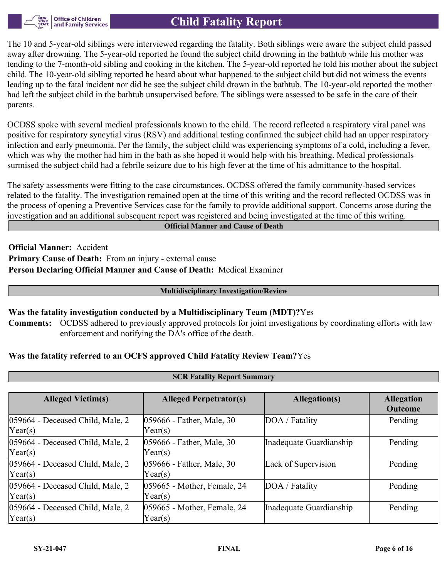

The 10 and 5-year-old siblings were interviewed regarding the fatality. Both siblings were aware the subject child passed away after drowning. The 5-year-old reported he found the subject child drowning in the bathtub while his mother was tending to the 7-month-old sibling and cooking in the kitchen. The 5-year-old reported he told his mother about the subject child. The 10-year-old sibling reported he heard about what happened to the subject child but did not witness the events leading up to the fatal incident nor did he see the subject child drown in the bathtub. The 10-year-old reported the mother had left the subject child in the bathtub unsupervised before. The siblings were assessed to be safe in the care of their parents.

OCDSS spoke with several medical professionals known to the child. The record reflected a respiratory viral panel was positive for respiratory syncytial virus (RSV) and additional testing confirmed the subject child had an upper respiratory infection and early pneumonia. Per the family, the subject child was experiencing symptoms of a cold, including a fever, which was why the mother had him in the bath as she hoped it would help with his breathing. Medical professionals surmised the subject child had a febrile seizure due to his high fever at the time of his admittance to the hospital.

The safety assessments were fitting to the case circumstances. OCDSS offered the family community-based services related to the fatality. The investigation remained open at the time of this writing and the record reflected OCDSS was in the process of opening a Preventive Services case for the family to provide additional support. Concerns arose during the investigation and an additional subsequent report was registered and being investigated at the time of this writing.

**Official Manner and Cause of Death**

**Official Manner:** Accident **Primary Cause of Death:** From an injury - external cause **Person Declaring Official Manner and Cause of Death:** Medical Examiner

#### **Multidisciplinary Investigation/Review**

#### **Was the fatality investigation conducted by a Multidisciplinary Team (MDT)?**Yes

**Comments:** OCDSS adhered to previously approved protocols for joint investigations by coordinating efforts with law enforcement and notifying the DA's office of the death.

#### **Was the fatality referred to an OCFS approved Child Fatality Review Team?**Yes

| <b>SCR Fatality Report Summary</b>                   |                                               |                         |                                     |  |  |  |
|------------------------------------------------------|-----------------------------------------------|-------------------------|-------------------------------------|--|--|--|
|                                                      |                                               |                         |                                     |  |  |  |
| <b>Alleged Victim(s)</b>                             | <b>Alleged Perpetrator(s)</b>                 | Allegation(s)           | <b>Allegation</b><br><b>Outcome</b> |  |  |  |
| 059664 - Deceased Child, Male, 2<br>Year(s)          | 059666 - Father, Male, 30<br>Year(s)          | DOA / Fatality          | Pending                             |  |  |  |
| 059664 - Deceased Child, Male, 2<br>$\text{Year}(s)$ | 059666 - Father, Male, 30<br>$\text{Year}(s)$ | Inadequate Guardianship | Pending                             |  |  |  |
| 059664 - Deceased Child, Male, 2<br>Year(s)          | 059666 - Father, Male, 30<br>Year(s)          | Lack of Supervision     | Pending                             |  |  |  |
| 059664 - Deceased Child, Male, 2<br>Year(s)          | 059665 - Mother, Female, 24<br>Year(s)        | DOA / Fatality          | Pending                             |  |  |  |
| 059664 - Deceased Child, Male, 2<br>Year(s)          | 059665 - Mother, Female, 24<br>Year(s)        | Inadequate Guardianship | Pending                             |  |  |  |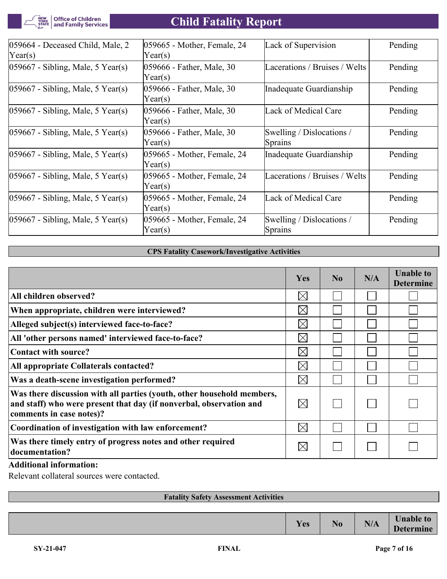Office of Children<br>| and Family Services NEW<br>YORK<br>STATE

# **Child Fatality Report**

| $ 059664$ - Deceased Child, Male, 2<br>$\text{Year}(s)$ | 059665 - Mother, Female, 24<br>Year(s) | Lack of Supervision                  | Pending |
|---------------------------------------------------------|----------------------------------------|--------------------------------------|---------|
| $ 059667 - Sibling, Male, 5 Year(s) $                   | 059666 - Father, Male, 30<br>Year(s)   | Lacerations / Bruises / Welts        | Pending |
| $ 059667 - Sibling, Male, 5 Year(s) $                   | 059666 - Father, Male, 30<br>Year(s)   | Inadequate Guardianship              | Pending |
| $ 059667 - Sibling, Male, 5 Year(s) $                   | 059666 - Father, Male, 30<br>Year(s)   | Lack of Medical Care                 | Pending |
| $ 059667 - Sibling, Male, 5 Year(s) $                   | 059666 - Father, Male, 30<br>Year(s)   | Swelling / Dislocations /<br>Sprains | Pending |
| $ 059667 - Sibling, Male, 5 Year(s) $                   | 059665 - Mother, Female, 24<br>Year(s) | Inadequate Guardianship              | Pending |
| $ 059667 - Sibling, Male, 5 Year(s) $                   | 059665 - Mother, Female, 24<br>Year(s) | Lacerations / Bruises / Welts        | Pending |
| $ 059667 - Sibling, Male, 5 Year(s) $                   | 059665 - Mother, Female, 24<br>Year(s) | Lack of Medical Care                 | Pending |
| $ 059667 - Sibling, Male, 5 Year(s) $                   | 059665 - Mother, Female, 24<br>Year(s) | Swelling / Dislocations /<br>Sprains | Pending |

#### **CPS Fatality Casework/Investigative Activities**

|                                                                                                                                                                           | <b>Yes</b>  | No | N/A | <b>Unable to</b><br><b>Determine</b> |
|---------------------------------------------------------------------------------------------------------------------------------------------------------------------------|-------------|----|-----|--------------------------------------|
| All children observed?                                                                                                                                                    | $\boxtimes$ |    |     |                                      |
| When appropriate, children were interviewed?                                                                                                                              | $\boxtimes$ |    |     |                                      |
| Alleged subject(s) interviewed face-to-face?                                                                                                                              | $\boxtimes$ |    |     |                                      |
| All 'other persons named' interviewed face-to-face?                                                                                                                       | $\times$    |    |     |                                      |
| Contact with source?                                                                                                                                                      | $\boxtimes$ |    |     |                                      |
| All appropriate Collaterals contacted?                                                                                                                                    | $\boxtimes$ |    |     |                                      |
| Was a death-scene investigation performed?                                                                                                                                | $\boxtimes$ |    |     |                                      |
| Was there discussion with all parties (youth, other household members,<br>and staff) who were present that day (if nonverbal, observation and<br>comments in case notes)? | $\boxtimes$ |    |     |                                      |
| Coordination of investigation with law enforcement?                                                                                                                       | $\boxtimes$ |    |     |                                      |
| Was there timely entry of progress notes and other required<br>documentation?                                                                                             | $\boxtimes$ |    |     |                                      |

#### **Additional information:**

Relevant collateral sources were contacted.

| <b>Fatality Safety Assessment Activities</b> |     |                |     |                                      |
|----------------------------------------------|-----|----------------|-----|--------------------------------------|
|                                              |     |                |     |                                      |
|                                              | Yes | N <sub>0</sub> | N/A | <b>Unable to</b><br><b>Determine</b> |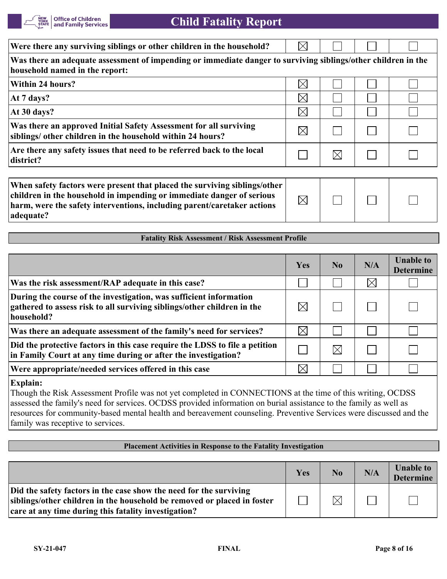

 $\overline{\nabla}$ 

| Were there any surviving siblings or other children in the household?                                                                           | $\times$    |  |  |
|-------------------------------------------------------------------------------------------------------------------------------------------------|-------------|--|--|
| Was there an adequate assessment of impending or immediate danger to surviving siblings/other children in the<br>household named in the report: |             |  |  |
| Within 24 hours?                                                                                                                                | $\boxtimes$ |  |  |
| At 7 days?                                                                                                                                      | $\boxtimes$ |  |  |
| At 30 days?                                                                                                                                     | $\boxtimes$ |  |  |
| Was there an approved Initial Safety Assessment for all surviving<br>siblings/ other children in the household within 24 hours?                 | $\times$    |  |  |
| Are there any safety issues that need to be referred back to the local<br>district?                                                             |             |  |  |
|                                                                                                                                                 |             |  |  |

| When safety factors were present that placed the surviving siblings/other |             |  |  |
|---------------------------------------------------------------------------|-------------|--|--|
| children in the household in impending or immediate danger of serious     | $\boxtimes$ |  |  |
| harm, were the safety interventions, including parent/caretaker actions   |             |  |  |
| adequate?                                                                 |             |  |  |

#### **Fatality Risk Assessment / Risk Assessment Profile**

|                                                                                                                                                             | Yes         | N <sub>0</sub> | N/A         | <b>Unable to</b><br><b>Determine</b> |
|-------------------------------------------------------------------------------------------------------------------------------------------------------------|-------------|----------------|-------------|--------------------------------------|
| Was the risk assessment/RAP adequate in this case?                                                                                                          |             |                | $\boxtimes$ |                                      |
| During the course of the investigation, was sufficient information<br>gathered to assess risk to all surviving siblings/other children in the<br>household? |             |                |             |                                      |
| Was there an adequate assessment of the family's need for services?                                                                                         | $\boxtimes$ |                |             |                                      |
| Did the protective factors in this case require the LDSS to file a petition<br>in Family Court at any time during or after the investigation?               |             |                |             |                                      |
| Were appropriate/needed services offered in this case                                                                                                       |             |                |             |                                      |

#### **Explain:**

Though the Risk Assessment Profile was not yet completed in CONNECTIONS at the time of this writing, OCDSS assessed the family's need for services. OCDSS provided information on burial assistance to the family as well as resources for community-based mental health and bereavement counseling. Preventive Services were discussed and the family was receptive to services.

#### **Placement Activities in Response to the Fatality Investigation**

|                                                                                                                                                                                                       | Yes | $\bf N_0$   | N/A | <b>Unable to</b><br><b>Determine</b> |
|-------------------------------------------------------------------------------------------------------------------------------------------------------------------------------------------------------|-----|-------------|-----|--------------------------------------|
| Did the safety factors in the case show the need for the surviving<br>siblings/other children in the household be removed or placed in foster<br>care at any time during this fatality investigation? |     | $\boxtimes$ |     |                                      |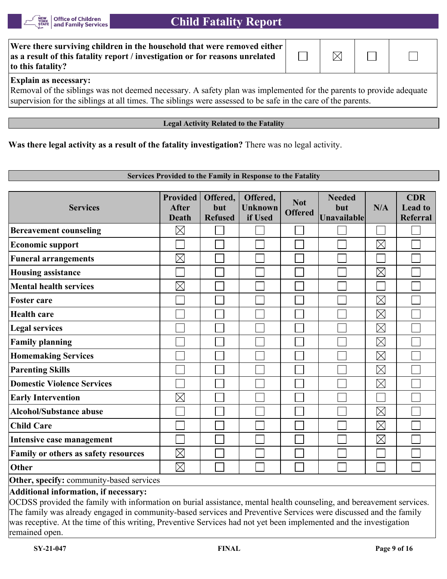

| Were there surviving children in the household that were removed either<br>as a result of this fatality report / investigation or for reasons unrelated<br>to this fatality? | $\overline{\phantom{0}}$ | $\boxtimes$ |  |
|------------------------------------------------------------------------------------------------------------------------------------------------------------------------------|--------------------------|-------------|--|
| <b>Explain as necessary:</b>                                                                                                                                                 |                          |             |  |
| Removal of the siblings was not deemed necessary. A safety plan was implemented for the parents to provide adequate                                                          |                          |             |  |
| supervision for the siblings at all times. The siblings were assessed to be safe in the care of the parents.                                                                 |                          |             |  |

#### **Legal Activity Related to the Fatality**

**Was there legal activity as a result of the fatality investigation?** There was no legal activity.

#### **Services Provided to the Family in Response to the Fatality**

| <b>Services</b>                          | <b>Provided</b><br><b>After</b><br><b>Death</b> | Offered,<br>but<br><b>Refused</b> | Offered,<br><b>Unknown</b><br>if Used | <b>Not</b><br><b>Offered</b> | <b>Needed</b><br>but<br>Unavailable | N/A         | <b>CDR</b><br><b>Lead to</b><br><b>Referral</b> |
|------------------------------------------|-------------------------------------------------|-----------------------------------|---------------------------------------|------------------------------|-------------------------------------|-------------|-------------------------------------------------|
| <b>Bereavement counseling</b>            | $\boxtimes$                                     |                                   |                                       |                              |                                     |             |                                                 |
| <b>Economic support</b>                  |                                                 |                                   |                                       |                              |                                     | $\boxtimes$ |                                                 |
| <b>Funeral arrangements</b>              | $\boxtimes$                                     |                                   |                                       |                              |                                     |             |                                                 |
| <b>Housing assistance</b>                |                                                 |                                   |                                       |                              |                                     | $\boxtimes$ |                                                 |
| <b>Mental health services</b>            | $\boxtimes$                                     |                                   |                                       |                              |                                     |             |                                                 |
| <b>Foster care</b>                       |                                                 |                                   |                                       |                              |                                     | $\boxtimes$ |                                                 |
| <b>Health care</b>                       |                                                 |                                   |                                       |                              |                                     | $\boxtimes$ |                                                 |
| <b>Legal services</b>                    |                                                 |                                   |                                       |                              |                                     | $\boxtimes$ |                                                 |
| <b>Family planning</b>                   |                                                 |                                   |                                       |                              |                                     | $\boxtimes$ |                                                 |
| <b>Homemaking Services</b>               |                                                 |                                   |                                       |                              |                                     | $\boxtimes$ |                                                 |
| <b>Parenting Skills</b>                  |                                                 |                                   |                                       |                              |                                     | $\boxtimes$ |                                                 |
| <b>Domestic Violence Services</b>        |                                                 |                                   |                                       |                              |                                     | $\boxtimes$ |                                                 |
| <b>Early Intervention</b>                | $\boxtimes$                                     |                                   |                                       |                              |                                     |             |                                                 |
| <b>Alcohol/Substance abuse</b>           |                                                 |                                   |                                       |                              |                                     | $\boxtimes$ |                                                 |
| <b>Child Care</b>                        |                                                 |                                   |                                       |                              |                                     | $\boxtimes$ |                                                 |
| Intensive case management                |                                                 |                                   |                                       |                              |                                     | $\boxtimes$ |                                                 |
| Family or others as safety resources     | $\boxtimes$                                     |                                   |                                       |                              |                                     |             |                                                 |
| <b>Other</b>                             | $\boxtimes$                                     |                                   |                                       |                              |                                     |             |                                                 |
| Other, specify: community-based services |                                                 |                                   |                                       |                              |                                     |             |                                                 |
| Additional information, if necessary:    |                                                 |                                   |                                       |                              |                                     |             |                                                 |

OCDSS provided the family with information on burial assistance, mental health counseling, and bereavement services. The family was already engaged in community-based services and Preventive Services were discussed and the family was receptive. At the time of this writing, Preventive Services had not yet been implemented and the investigation remained open.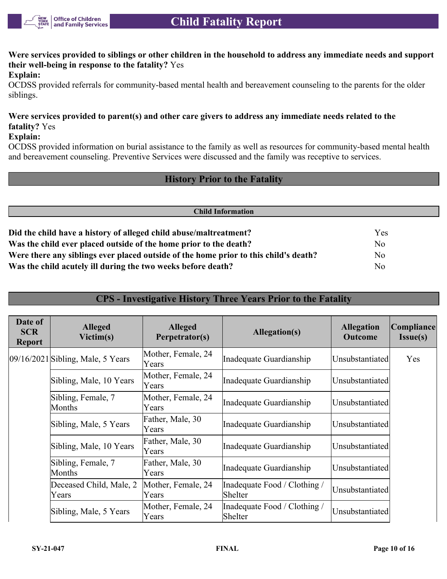

**Were services provided to siblings or other children in the household to address any immediate needs and support their well-being in response to the fatality?** Yes

#### **Explain:**

OCDSS provided referrals for community-based mental health and bereavement counseling to the parents for the older siblings.

#### **Were services provided to parent(s) and other care givers to address any immediate needs related to the fatality?** Yes

#### **Explain:**

OCDSS provided information on burial assistance to the family as well as resources for community-based mental health and bereavement counseling. Preventive Services were discussed and the family was receptive to services.

#### **History Prior to the Fatality**

| <b>Child Information</b>                                                             |                |  |
|--------------------------------------------------------------------------------------|----------------|--|
|                                                                                      |                |  |
| Did the child have a history of alleged child abuse/maltreatment?                    | Yes            |  |
| Was the child ever placed outside of the home prior to the death?                    | No             |  |
| Were there any siblings ever placed outside of the home prior to this child's death? | No             |  |
| Was the child acutely ill during the two weeks before death?                         | N <sub>o</sub> |  |

#### **CPS - Investigative History Three Years Prior to the Fatality**

| Date of<br><b>SCR</b><br><b>Report</b> | <b>Alleged</b><br>Victim(s)           | <b>Alleged</b><br>Perpetrator(s) | Allegation(s)                           | <b>Allegation</b><br><b>Outcome</b> | <b>Compliance</b><br>Issue(s) |
|----------------------------------------|---------------------------------------|----------------------------------|-----------------------------------------|-------------------------------------|-------------------------------|
|                                        | $[09/16/2021]$ Sibling, Male, 5 Years | Mother, Female, 24<br>Years      | Inadequate Guardianship                 | Unsubstantiated                     | Yes                           |
|                                        | Sibling, Male, 10 Years               | Mother, Female, 24<br>Years      | Inadequate Guardianship                 | Unsubstantiated                     |                               |
|                                        | Sibling, Female, 7<br>Months          | Mother, Female, 24<br>Years      | Inadequate Guardianship                 | Unsubstantiated                     |                               |
|                                        | Sibling, Male, 5 Years                | Father, Male, 30<br>Years        | Inadequate Guardianship                 | Unsubstantiated                     |                               |
|                                        | Sibling, Male, 10 Years               | Father, Male, 30<br>Years        | Inadequate Guardianship                 | Unsubstantiated                     |                               |
|                                        | Sibling, Female, 7<br>Months          | Father, Male, 30<br>Years        | Inadequate Guardianship                 | Unsubstantiated                     |                               |
|                                        | Deceased Child, Male, 2<br>Years      | Mother, Female, 24<br>Years      | Inadequate Food / Clothing /<br>Shelter | Unsubstantiated                     |                               |
|                                        | Sibling, Male, 5 Years                | Mother, Female, 24<br>Years      | Inadequate Food / Clothing /<br>Shelter | Unsubstantiated                     |                               |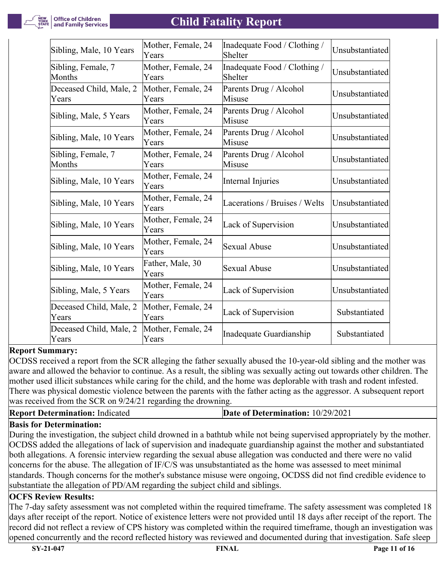**Office of Children<br>and Family Services** 

### **Child Fatality Report**

| Sibling, Male, 10 Years          | Mother, Female, 24<br>Years | Inadequate Food / Clothing /<br>Shelter | Unsubstantiated |
|----------------------------------|-----------------------------|-----------------------------------------|-----------------|
| Sibling, Female, 7<br>Months     | Mother, Female, 24<br>Years | Inadequate Food / Clothing /<br>Shelter | Unsubstantiated |
| Deceased Child, Male, 2<br>Years | Mother, Female, 24<br>Years | Parents Drug / Alcohol<br>Misuse        | Unsubstantiated |
| Sibling, Male, 5 Years           | Mother, Female, 24<br>Years | Parents Drug / Alcohol<br>Misuse        | Unsubstantiated |
| Sibling, Male, 10 Years          | Mother, Female, 24<br>Years | Parents Drug / Alcohol<br>Misuse        | Unsubstantiated |
| Sibling, Female, 7<br>Months     | Mother, Female, 24<br>Years | Parents Drug / Alcohol<br>Misuse        | Unsubstantiated |
| Sibling, Male, 10 Years          | Mother, Female, 24<br>Years | Internal Injuries                       | Unsubstantiated |
| Sibling, Male, 10 Years          | Mother, Female, 24<br>Years | Lacerations / Bruises / Welts           | Unsubstantiated |
| Sibling, Male, 10 Years          | Mother, Female, 24<br>Years | Lack of Supervision                     | Unsubstantiated |
| Sibling, Male, 10 Years          | Mother, Female, 24<br>Years | <b>Sexual Abuse</b>                     | Unsubstantiated |
| Sibling, Male, 10 Years          | Father, Male, 30<br>Years   | <b>Sexual Abuse</b>                     | Unsubstantiated |
| Sibling, Male, 5 Years           | Mother, Female, 24<br>Years | Lack of Supervision                     | Unsubstantiated |
| Deceased Child, Male, 2<br>Years | Mother, Female, 24<br>Years | Lack of Supervision                     | Substantiated   |
| Deceased Child, Male, 2<br>Years | Mother, Female, 24<br>Years | Inadequate Guardianship                 | Substantiated   |

#### **Report Summary:**

OCDSS received a report from the SCR alleging the father sexually abused the 10-year-old sibling and the mother was aware and allowed the behavior to continue. As a result, the sibling was sexually acting out towards other children. The mother used illicit substances while caring for the child, and the home was deplorable with trash and rodent infested. There was physical domestic violence between the parents with the father acting as the aggressor. A subsequent report was received from the SCR on 9/24/21 regarding the drowning.

| <b>Report Determination: Indicated</b> | <b>Date of Determination: 10/29/2021</b> |
|----------------------------------------|------------------------------------------|
|                                        |                                          |

#### **Basis for Determination:**

During the investigation, the subject child drowned in a bathtub while not being supervised appropriately by the mother. OCDSS added the allegations of lack of supervision and inadequate guardianship against the mother and substantiated both allegations. A forensic interview regarding the sexual abuse allegation was conducted and there were no valid concerns for the abuse. The allegation of IF/C/S was unsubstantiated as the home was assessed to meet minimal standards. Though concerns for the mother's substance misuse were ongoing, OCDSS did not find credible evidence to substantiate the allegation of PD/AM regarding the subject child and siblings.

#### **OCFS Review Results:**

The 7-day safety assessment was not completed within the required timeframe. The safety assessment was completed 18 days after receipt of the report. Notice of existence letters were not provided until 18 days after receipt of the report. The record did not reflect a review of CPS history was completed within the required timeframe, though an investigation was opened concurrently and the record reflected history was reviewed and documented during that investigation. Safe sleep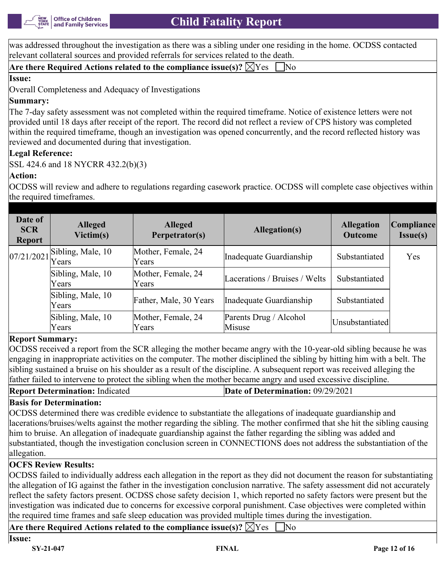was addressed throughout the investigation as there was a sibling under one residing in the home. OCDSS contacted relevant collateral sources and provided referrals for services related to the death.

|  | Are there Required Actions related to the compliance issue(s)? $\boxtimes$ Yes $\Box$ No |  |
|--|------------------------------------------------------------------------------------------|--|
|--|------------------------------------------------------------------------------------------|--|

#### **Issue:**

Overall Completeness and Adequacy of Investigations

#### **Summary:**

The 7-day safety assessment was not completed within the required timeframe. Notice of existence letters were not provided until 18 days after receipt of the report. The record did not reflect a review of CPS history was completed within the required timeframe, though an investigation was opened concurrently, and the record reflected history was reviewed and documented during that investigation.

#### **Legal Reference:**

SSL 424.6 and 18 NYCRR 432.2(b)(3)

#### **Action:**

OCDSS will review and adhere to regulations regarding casework practice. OCDSS will complete case objectives within the required timeframes.

| Date of<br><b>SCR</b><br><b>Report</b> | <b>Alleged</b><br>Victim(s)                           | <b>Alleged</b><br>Perpetrator(s) | Allegation(s)                    | <b>Allegation</b><br><b>Outcome</b> | Compliance <br>$Issue(s)$ |
|----------------------------------------|-------------------------------------------------------|----------------------------------|----------------------------------|-------------------------------------|---------------------------|
|                                        | $\left  \frac{07}{21/2021} \right $ Sibling, Male, 10 | Mother, Female, 24<br>Years      | Inadequate Guardianship          | Substantiated                       | Yes                       |
|                                        | Sibling, Male, 10<br>Years                            | Mother, Female, 24<br>Years      | Lacerations / Bruises / Welts    | Substantiated                       |                           |
|                                        | Sibling, Male, 10<br>Years                            | Father, Male, 30 Years           | Inadequate Guardianship          | Substantiated                       |                           |
|                                        | Sibling, Male, 10<br>Years                            | Mother, Female, 24<br>Years      | Parents Drug / Alcohol<br>Misuse | Unsubstantiated                     |                           |

#### **Report Summary:**

OCDSS received a report from the SCR alleging the mother became angry with the 10-year-old sibling because he was engaging in inappropriate activities on the computer. The mother disciplined the sibling by hitting him with a belt. The sibling sustained a bruise on his shoulder as a result of the discipline. A subsequent report was received alleging the father failed to intervene to protect the sibling when the mother became angry and used excessive discipline.

#### **Basis for Determination:**

OCDSS determined there was credible evidence to substantiate the allegations of inadequate guardianship and lacerations/bruises/welts against the mother regarding the sibling. The mother confirmed that she hit the sibling causing him to bruise. An allegation of inadequate guardianship against the father regarding the sibling was added and substantiated, though the investigation conclusion screen in CONNECTIONS does not address the substantiation of the allegation.

#### **OCFS Review Results:**

OCDSS failed to individually address each allegation in the report as they did not document the reason for substantiating the allegation of IG against the father in the investigation conclusion narrative. The safety assessment did not accurately reflect the safety factors present. OCDSS chose safety decision 1, which reported no safety factors were present but the investigation was indicated due to concerns for excessive corporal punishment. Case objectives were completed within the required time frames and safe sleep education was provided multiple times during the investigation.

**Are there Required Actions related to the compliance issue(s)?**  $\widehat{\boxtimes}$  **Yes**  $\widehat{\blacksquare}$  **No**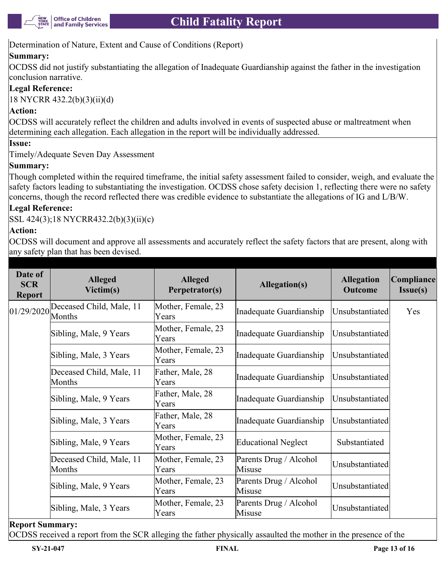

Determination of Nature, Extent and Cause of Conditions (Report)

#### **Summary:**

OCDSS did not justify substantiating the allegation of Inadequate Guardianship against the father in the investigation conclusion narrative.

#### **Legal Reference:**

18 NYCRR 432.2(b)(3)(ii)(d)

#### **Action:**

OCDSS will accurately reflect the children and adults involved in events of suspected abuse or maltreatment when determining each allegation. Each allegation in the report will be individually addressed.

#### **Issue:**

Timely/Adequate Seven Day Assessment

#### **Summary:**

Though completed within the required timeframe, the initial safety assessment failed to consider, weigh, and evaluate the safety factors leading to substantiating the investigation. OCDSS chose safety decision 1, reflecting there were no safety concerns, though the record reflected there was credible evidence to substantiate the allegations of IG and L/B/W.

#### **Legal Reference:**

SSL 424(3);18 NYCRR432.2(b)(3)(ii)(c)

#### **Action:**

OCDSS will document and approve all assessments and accurately reflect the safety factors that are present, along with any safety plan that has been devised.

| Date of<br><b>SCR</b><br><b>Report</b> | <b>Alleged</b><br>Victim(s)        | <b>Alleged</b><br>Perpetrator(s) | Allegation(s)                    | <b>Allegation</b><br><b>Outcome</b> | Compliance <br>Issue(s) |
|----------------------------------------|------------------------------------|----------------------------------|----------------------------------|-------------------------------------|-------------------------|
| 01/29/2020                             | Deceased Child, Male, 11<br>Months | Mother, Female, 23<br>Years      | Inadequate Guardianship          | Unsubstantiated                     | Yes                     |
|                                        | Sibling, Male, 9 Years             | Mother, Female, 23<br>Years      | Inadequate Guardianship          | Unsubstantiated                     |                         |
|                                        | Sibling, Male, 3 Years             | Mother, Female, 23<br>Years      | Inadequate Guardianship          | Unsubstantiated                     |                         |
|                                        | Deceased Child, Male, 11<br>Months | Father, Male, 28<br>Years        | Inadequate Guardianship          | Unsubstantiated                     |                         |
|                                        | Sibling, Male, 9 Years             | Father, Male, 28<br>Years        | Inadequate Guardianship          | Unsubstantiated                     |                         |
|                                        | Sibling, Male, 3 Years             | Father, Male, 28<br>Years        | Inadequate Guardianship          | Unsubstantiated                     |                         |
|                                        | Sibling, Male, 9 Years             | Mother, Female, 23<br>Years      | Educational Neglect              | Substantiated                       |                         |
|                                        | Deceased Child, Male, 11<br>Months | Mother, Female, 23<br>Years      | Parents Drug / Alcohol<br>Misuse | Unsubstantiated                     |                         |
|                                        | Sibling, Male, 9 Years             | Mother, Female, 23<br>Years      | Parents Drug / Alcohol<br>Misuse | Unsubstantiated                     |                         |
|                                        | Sibling, Male, 3 Years             | Mother, Female, 23<br>Years      | Parents Drug / Alcohol<br>Misuse | Unsubstantiated                     |                         |

**Report Summary:**

OCDSS received a report from the SCR alleging the father physically assaulted the mother in the presence of the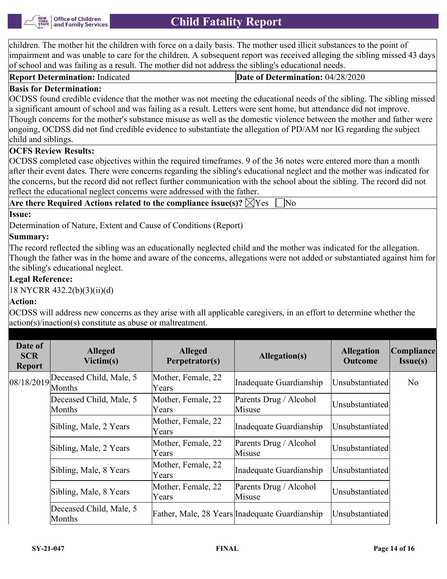

children. The mother hit the children with force on a daily basis. The mother used illicit substances to the point of impairment and was unable to care for the children. A subsequent report was received alleging the sibling missed 43 days of school and was failing as a result. The mother did not address the sibling's educational needs.

**Report Determination:** Indicated **Date of Determination:** 04/28/2020

#### **Basis for Determination:**

OCDSS found credible evidence that the mother was not meeting the educational needs of the sibling. The sibling missed a significant amount of school and was failing as a result. Letters were sent home, but attendance did not improve. Though concerns for the mother's substance misuse as well as the domestic violence between the mother and father were ongoing, OCDSS did not find credible evidence to substantiate the allegation of PD/AM nor IG regarding the subject child and siblings.

#### **OCFS Review Results:**

OCDSS completed case objectives within the required timeframes. 9 of the 36 notes were entered more than a month after their event dates. There were concerns regarding the sibling's educational neglect and the mother was indicated for the concerns, but the record did not reflect further communication with the school about the sibling. The record did not reflect the educational neglect concerns were addressed with the father.

| Are there Required Actions related to the compliance issue(s)? $\forall$ Yes |  |
|------------------------------------------------------------------------------|--|
| Issue:                                                                       |  |

Determination of Nature, Extent and Cause of Conditions (Report)

#### **Summary:**

The record reflected the sibling was an educationally neglected child and the mother was indicated for the allegation. Though the father was in the home and aware of the concerns, allegations were not added or substantiated against him for the sibling's educational neglect.

#### **Legal Reference:**

18 NYCRR 432.2(b)(3)(ii)(d)

#### **Action:**

OCDSS will address new concerns as they arise with all applicable caregivers, in an effort to determine whether the action(s)/inaction(s) constitute as abuse or maltreatment.

| Date of<br><b>SCR</b><br><b>Report</b> | <b>Alleged</b><br>Victim(s)                    | <b>Alleged</b><br>Perpetrator(s) | Allegation(s)                                  | <b>Allegation</b><br><b>Outcome</b> | Compliance <br>Issue(s) |
|----------------------------------------|------------------------------------------------|----------------------------------|------------------------------------------------|-------------------------------------|-------------------------|
|                                        | $08/18/2019$ Deceased Child, Male, 5<br>Months | Mother, Female, 22<br>Years      | Inadequate Guardianship                        | Unsubstantiated                     | N <sub>o</sub>          |
|                                        | Deceased Child, Male, 5<br>Months              | Mother, Female, 22<br>Years      | Parents Drug / Alcohol<br>Misuse               | Unsubstantiated                     |                         |
|                                        | Sibling, Male, 2 Years                         | Mother, Female, 22<br>Years      | Inadequate Guardianship                        | Unsubstantiated                     |                         |
|                                        | Sibling, Male, 2 Years                         | Mother, Female, 22<br>Years      | Parents Drug / Alcohol<br>Misuse               | Unsubstantiated                     |                         |
|                                        | Sibling, Male, 8 Years                         | Mother, Female, 22<br>Years      | Inadequate Guardianship                        | Unsubstantiated                     |                         |
|                                        | Sibling, Male, 8 Years                         | Mother, Female, 22<br>Years      | Parents Drug / Alcohol<br>Misuse               | Unsubstantiated                     |                         |
|                                        | Deceased Child, Male, 5<br>Months              |                                  | Father, Male, 28 Years Inadequate Guardianship | Unsubstantiated                     |                         |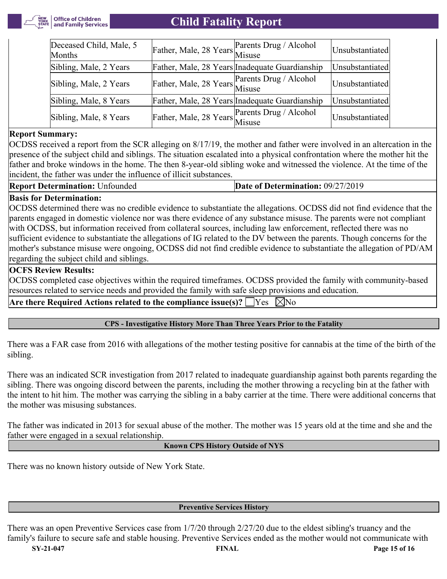

| Deceased Child, Male, 5<br>Months | Father, Male, 28 Years Parents Drug / Alcohol  | Unsubstantiated |
|-----------------------------------|------------------------------------------------|-----------------|
| Sibling, Male, 2 Years            | Father, Male, 28 Years Inadequate Guardianship | Unsubstantiated |
| Sibling, Male, 2 Years            | Father, Male, 28 Years Parents Drug / Alcohol  | Unsubstantiated |
| Sibling, Male, 8 Years            | Father, Male, 28 Years Inadequate Guardianship | Unsubstantiated |
| Sibling, Male, 8 Years            | Father, Male, 28 Years Parents Drug / Alcohol  | Unsubstantiated |

#### **Report Summary:**

OCDSS received a report from the SCR alleging on 8/17/19, the mother and father were involved in an altercation in the presence of the subject child and siblings. The situation escalated into a physical confrontation where the mother hit the father and broke windows in the home. The then 8-year-old sibling woke and witnessed the violence. At the time of the incident, the father was under the influence of illicit substances.

**Date of Determination: 09/27/2019** 

#### **Basis for Determination:**

OCDSS determined there was no credible evidence to substantiate the allegations. OCDSS did not find evidence that the parents engaged in domestic violence nor was there evidence of any substance misuse. The parents were not compliant with OCDSS, but information received from collateral sources, including law enforcement, reflected there was no sufficient evidence to substantiate the allegations of IG related to the DV between the parents. Though concerns for the mother's substance misuse were ongoing, OCDSS did not find credible evidence to substantiate the allegation of PD/AM regarding the subject child and siblings.

#### **OCFS Review Results:**

OCDSS completed case objectives within the required timeframes. OCDSS provided the family with community-based resources related to service needs and provided the family with safe sleep provisions and education.

Are there Required Actions related to the compliance issue(s)?  $\Box$  Yes  $\Box$  No

#### **CPS - Investigative History More Than Three Years Prior to the Fatality**

There was a FAR case from 2016 with allegations of the mother testing positive for cannabis at the time of the birth of the sibling.

There was an indicated SCR investigation from 2017 related to inadequate guardianship against both parents regarding the sibling. There was ongoing discord between the parents, including the mother throwing a recycling bin at the father with the intent to hit him. The mother was carrying the sibling in a baby carrier at the time. There were additional concerns that the mother was misusing substances.

The father was indicated in 2013 for sexual abuse of the mother. The mother was 15 years old at the time and she and the father were engaged in a sexual relationship.

#### **Known CPS History Outside of NYS**

There was no known history outside of New York State.

#### **Preventive Services History**

**SY-21-047 FINAL Page 15 of 16** There was an open Preventive Services case from 1/7/20 through 2/27/20 due to the eldest sibling's truancy and the family's failure to secure safe and stable housing. Preventive Services ended as the mother would not communicate with